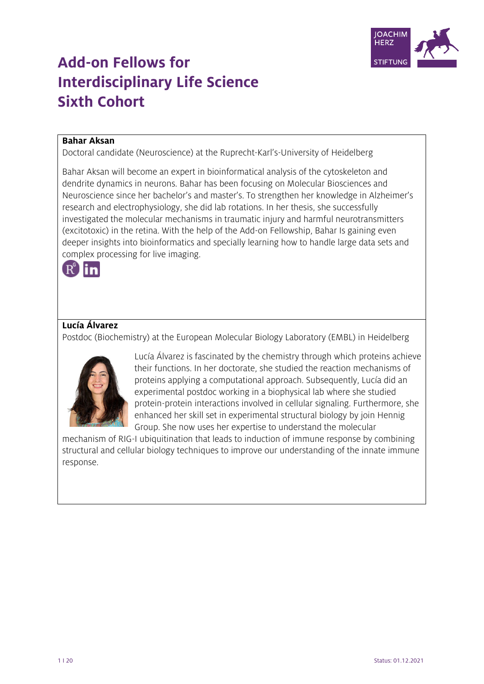

# **Add-on Fellows for Interdisciplinary Life Science Sixth Cohort**

# **Bahar Aksan**

Doctoral candidate (Neuroscience) at the Ruprecht-Karl's-University of Heidelberg

Bahar Aksan will become an expert in bioinformatical analysis of the cytoskeleton and dendrite dynamics in neurons. Bahar has been focusing on Molecular Biosciences and Neuroscience since her bachelor's and master's. To strengthen her knowledge in Alzheimer's research and electrophysiology, she did lab rotations. In her thesis, she successfully investigated the molecular mechanisms in traumatic injury and harmful neurotransmitters (excitotoxic) in the retina. With the help of the Add-on Fellowship, Bahar Is gaining even deeper insights into bioinformatics and specially learning how to handle large data sets and complex processing for live imaging.



# **Lucía Álvarez**

Postdoc (Biochemistry) at the European Molecular Biology Laboratory (EMBL) in Heidelberg



Lucía Álvarez is fascinated by the chemistry through which proteins achieve their functions. In her doctorate, she studied the reaction mechanisms of proteins applying a computational approach. Subsequently, Lucía did an experimental postdoc working in a biophysical lab where she studied protein-protein interactions involved in cellular signaling. Furthermore, she enhanced her skill set in experimental structural biology by join Hennig Group. She now uses her expertise to understand the molecular

mechanism of RIG-I ubiquitination that leads to induction of immune response by combining structural and cellular biology techniques to improve our understanding of the innate immune response.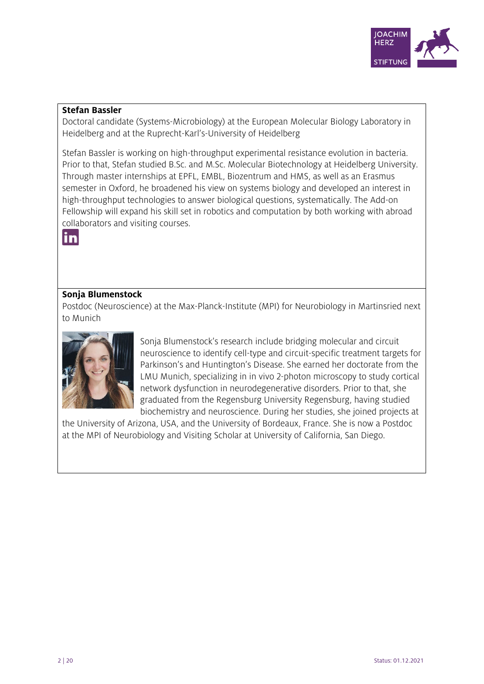

# **Stefan Bassler**

Doctoral candidate (Systems-Microbiology) at the European Molecular Biology Laboratory in Heidelberg and at the Ruprecht-Karl's-University of Heidelberg

Stefan Bassler is working on high-throughput experimental resistance evolution in bacteria. Prior to that, Stefan studied B.Sc. and M.Sc. Molecular Biotechnology at Heidelberg University. Through master internships at EPFL, EMBL, Biozentrum and HMS, as well as an Erasmus semester in Oxford, he broadened his view on systems biology and developed an interest in high-throughput technologies to answer biological questions, systematically. The Add-on Fellowship will expand his skill set in robotics and computation by both working with abroad collaborators and visiting courses.



# **Sonja Blumenstock**

Postdoc (Neuroscience) at the Max-Planck-Institute (MPI) for Neurobiology in Martinsried next to Munich



Sonja Blumenstock's research include bridging molecular and circuit neuroscience to identify cell-type and circuit-specific treatment targets for Parkinson's and Huntington's Disease. She earned her doctorate from the LMU Munich, specializing in in vivo 2-photon microscopy to study cortical network dysfunction in neurodegenerative disorders. Prior to that, she graduated from the Regensburg University Regensburg, having studied biochemistry and neuroscience. During her studies, she joined projects at

the University of Arizona, USA, and the University of Bordeaux, France. She is now a Postdoc at the MPI of Neurobiology and Visiting Scholar at University of California, San Diego.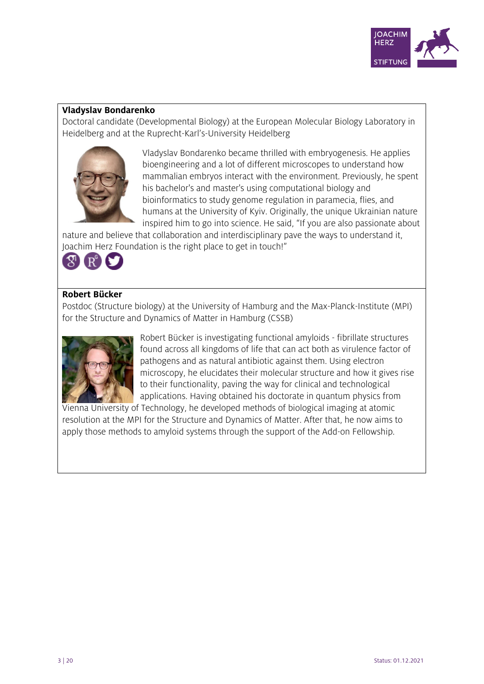

# **Vladyslav Bondarenko**

Doctoral candidate (Developmental Biology) at the European Molecular Biology Laboratory in Heidelberg and at the Ruprecht-Karl's-University Heidelberg



Vladyslav Bondarenko became thrilled with embryogenesis. He applies bioengineering and a lot of different microscopes to understand how mammalian embryos interact with the environment. Previously, he spent his bachelor's and master's using computational biology and bioinformatics to study genome regulation in paramecia, flies, and humans at the University of Kyiv. Originally, the unique Ukrainian nature inspired him to go into science. He said, "If you are also passionate about

nature and believe that collaboration and interdisciplinary pave the ways to understand it, Joachim Herz Foundation is the right place to get in touch!"



# **Robert Bücker**

Postdoc (Structure biology) at the University of Hamburg and the Max-Planck-Institute (MPI) for the Structure and Dynamics of Matter in Hamburg (CSSB)



Robert Bücker is investigating functional amyloids - fibrillate structures found across all kingdoms of life that can act both as virulence factor of pathogens and as natural antibiotic against them. Using electron microscopy, he elucidates their molecular structure and how it gives rise to their functionality, paving the way for clinical and technological applications. Having obtained his doctorate in quantum physics from

Vienna University of Technology, he developed methods of biological imaging at atomic resolution at the MPI for the Structure and Dynamics of Matter. After that, he now aims to apply those methods to amyloid systems through the support of the Add-on Fellowship.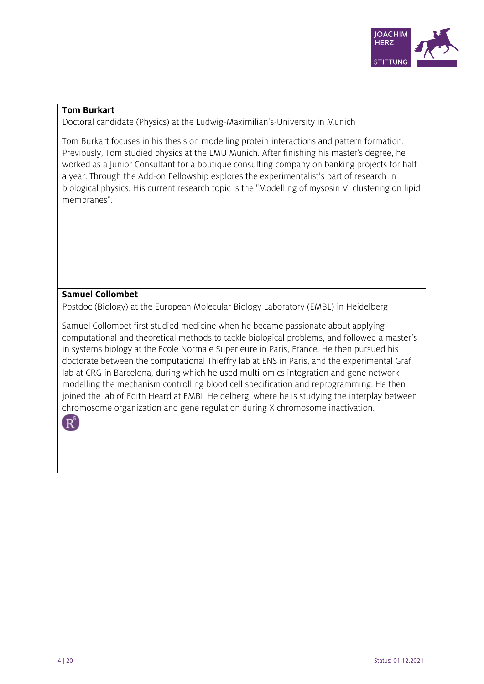

#### **Tom Burkart**

Doctoral candidate (Physics) at the Ludwig-Maximilian's-University in Munich

Tom Burkart focuses in his thesis on modelling protein interactions and pattern formation. Previously, Tom studied physics at the LMU Munich. After finishing his master's degree, he worked as a Junior Consultant for a boutique consulting company on banking projects for half a year. Through the Add-on Fellowship explores the experimentalist's part of research in biological physics. His current research topic is the "Modelling of mysosin VI clustering on lipid membranes".

# **Samuel Collombet**

Postdoc (Biology) at the European Molecular Biology Laboratory (EMBL) in Heidelberg

Samuel Collombet first studied medicine when he became passionate about applying computational and theoretical methods to tackle biological problems, and followed a master's in systems biology at the Ecole Normale Superieure in Paris, France. He then pursued his doctorate between the computational Thieffry lab at ENS in Paris, and the experimental Graf lab at CRG in Barcelona, during which he used multi-omics integration and gene network modelling the mechanism controlling blood cell specification and reprogramming. He then joined the lab of Edith Heard at EMBL Heidelberg, where he is studying the interplay between chromosome organization and gene regulation during X chromosome inactivation.

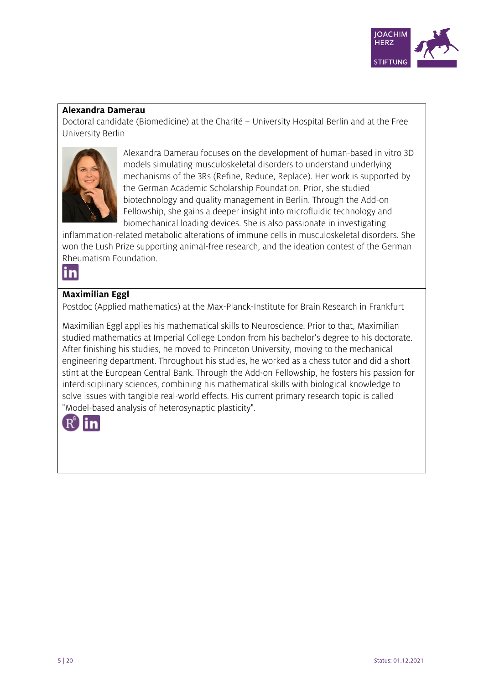

# **Alexandra Damerau**

Doctoral candidate (Biomedicine) at the Charité – University Hospital Berlin and at the Free University Berlin



Alexandra Damerau focuses on the development of human-based in vitro 3D models simulating musculoskeletal disorders to understand underlying mechanisms of the 3Rs (Refine, Reduce, Replace). Her work is supported by the German Academic Scholarship Foundation. Prior, she studied biotechnology and quality management in Berlin. Through the Add-on Fellowship, she gains a deeper insight into microfluidic technology and biomechanical loading devices. She is also passionate in investigating

inflammation-related metabolic alterations of immune cells in musculoskeletal disorders. She won the Lush Prize supporting animal-free research, and the ideation contest of the German Rheumatism Foundation.



# **Maximilian Eggl**

Postdoc (Applied mathematics) at the Max-Planck-Institute for Brain Research in Frankfurt

Maximilian Eggl applies his mathematical skills to Neuroscience. Prior to that, Maximilian studied mathematics at Imperial College London from his bachelor's degree to his doctorate. After finishing his studies, he moved to Princeton University, moving to the mechanical engineering department. Throughout his studies, he worked as a chess tutor and did a short stint at the European Central Bank. Through the Add-on Fellowship, he fosters his passion for interdisciplinary sciences, combining his mathematical skills with biological knowledge to solve issues with tangible real-world effects. His current primary research topic is called "Model-based analysis of heterosynaptic plasticity".

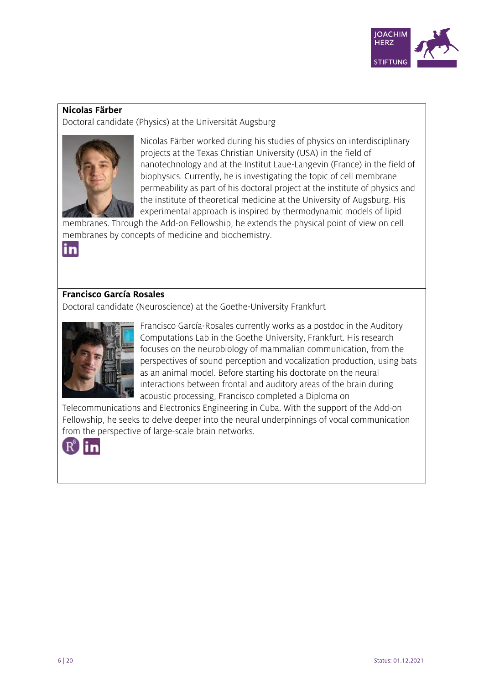

# **Nicolas Färber**

Doctoral candidate (Physics) at the Universität Augsburg



Nicolas Färber worked during his studies of physics on interdisciplinary projects at the Texas Christian University (USA) in the field of nanotechnology and at the Institut Laue-Langevin (France) in the field of biophysics. Currently, he is investigating the topic of cell membrane permeability as part of his doctoral project at the institute of physics and the institute of theoretical medicine at the University of Augsburg. His experimental approach is inspired by thermodynamic models of lipid

membranes. Through the Add-on Fellowship, he extends the physical point of view on cell membranes by concepts of medicine and biochemistry.



# **Francisco García Rosales**

Doctoral candidate (Neuroscience) at the Goethe-University Frankfurt



Francisco García-Rosales currently works as a postdoc in the Auditory Computations Lab in the Goethe University, Frankfurt. His research focuses on the neurobiology of mammalian communication, from the perspectives of sound perception and vocalization production, using bats as an animal model. Before starting his doctorate on the neural interactions between frontal and auditory areas of the brain during acoustic processing, Francisco completed a Diploma on

Telecommunications and Electronics Engineering in Cuba. With the support of the Add-on Fellowship, he seeks to delve deeper into the neural underpinnings of vocal communication from the perspective of large-scale brain networks.

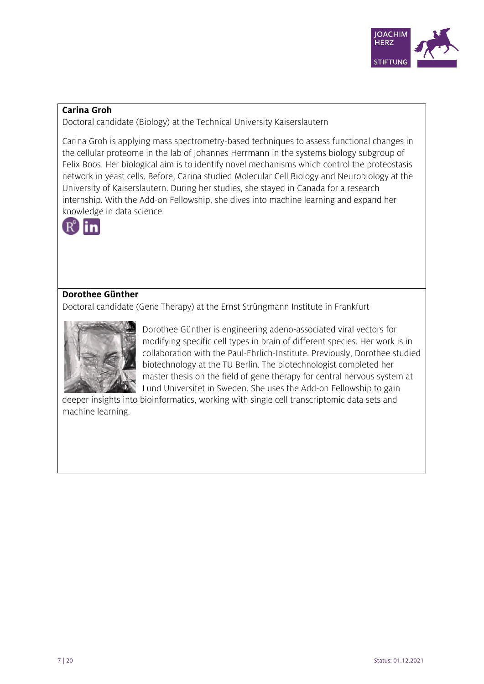

# **Carina Groh**

Doctoral candidate (Biology) at the Technical University Kaiserslautern

Carina Groh is applying mass spectrometry-based techniques to assess functional changes in the cellular proteome in the lab of Johannes Herrmann in the systems biology subgroup of Felix Boos. Her biological aim is to identify novel mechanisms which control the proteostasis network in yeast cells. Before, Carina studied Molecular Cell Biology and Neurobiology at the University of Kaiserslautern. During her studies, she stayed in Canada for a research internship. With the Add-on Fellowship, she dives into machine learning and expand her knowledge in data science.



# **Dorothee Günther**

Doctoral candidate (Gene Therapy) at the Ernst Strüngmann Institute in Frankfurt



Dorothee Günther is engineering adeno-associated viral vectors for modifying specific cell types in brain of different species. Her work is in collaboration with the Paul-Ehrlich-Institute. Previously, Dorothee studied biotechnology at the TU Berlin. The biotechnologist completed her master thesis on the field of gene therapy for central nervous system at Lund Universitet in Sweden. She uses the Add-on Fellowship to gain

deeper insights into bioinformatics, working with single cell transcriptomic data sets and machine learning.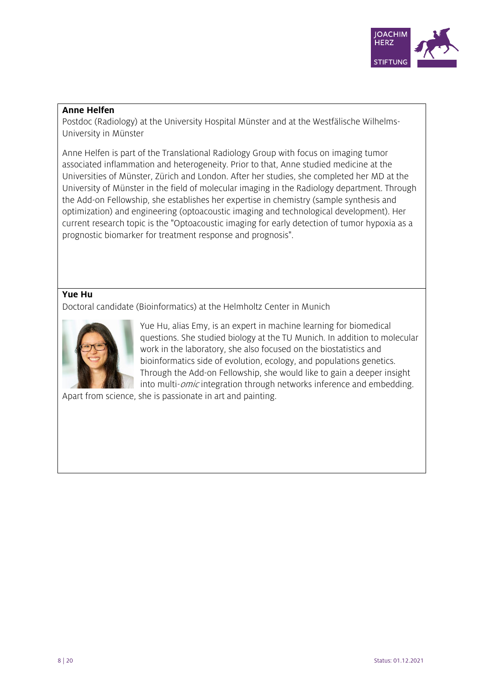

# **Anne Helfen**

Postdoc (Radiology) at the University Hospital Münster and at the Westfälische Wilhelms-University in Münster

Anne Helfen is part of the Translational Radiology Group with focus on imaging tumor associated inflammation and heterogeneity. Prior to that, Anne studied medicine at the Universities of Münster, Zürich and London. After her studies, she completed her MD at the University of Münster in the field of molecular imaging in the Radiology department. Through the Add-on Fellowship, she establishes her expertise in chemistry (sample synthesis and optimization) and engineering (optoacoustic imaging and technological development). Her current research topic is the "Optoacoustic imaging for early detection of tumor hypoxia as a prognostic biomarker for treatment response and prognosis".

# **Yue Hu**

Doctoral candidate (Bioinformatics) at the Helmholtz Center in Munich



Yue Hu, alias Emy, is an expert in machine learning for biomedical questions. She studied biology at the TU Munich. In addition to molecular work in the laboratory, she also focused on the biostatistics and bioinformatics side of evolution, ecology, and populations genetics. Through the Add-on Fellowship, she would like to gain a deeper insight into multi-*omic* integration through networks inference and embedding.

Apart from science, she is passionate in art and painting.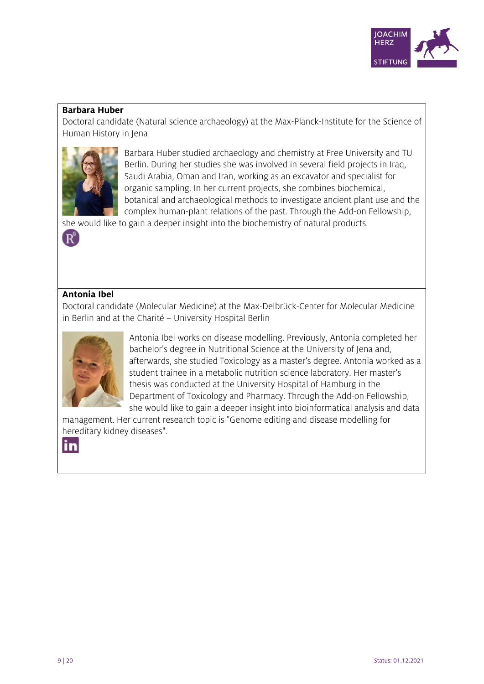

# **Barbara Huber**

Doctoral candidate (Natural science archaeology) at the Max-Planck-Institute for the Science of Human History in Jena



Barbara Huber studied archaeology and chemistry at Free University and TU Berlin. During her studies she was involved in several field projects in Iraq, Saudi Arabia, Oman and Iran, working as an excavator and specialist for organic sampling. In her current projects, she combines biochemical, botanical and archaeological methods to investigate ancient plant use and the complex human-plant relations of the past. Through the Add-on Fellowship,

she would like to gain a deeper insight into the biochemistry of natural products.

# **Antonia Ibel**

 $\rm \overline{R}^{\scriptscriptstyle 6}$ 

Doctoral candidate (Molecular Medicine) at the Max-Delbrück-Center for Molecular Medicine in Berlin and at the Charité – University Hospital Berlin



Antonia Ibel works on disease modelling. Previously, Antonia completed her bachelor's degree in Nutritional Science at the University of Jena and, afterwards, she studied Toxicology as a master's degree. Antonia worked as a student trainee in a metabolic nutrition science laboratory. Her master's thesis was conducted at the University Hospital of Hamburg in the Department of Toxicology and Pharmacy. Through the Add-on Fellowship, she would like to gain a deeper insight into bioinformatical analysis and data

management. Her current research topic is "Genome editing and disease modelling for hereditary kidney diseases".

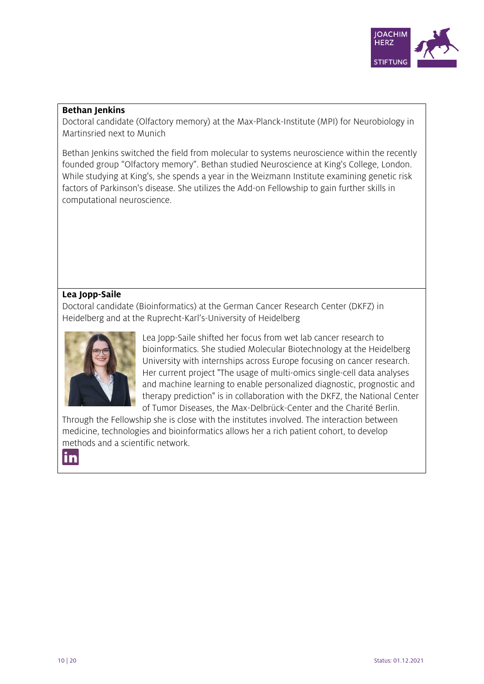

# **Bethan Jenkins**

Doctoral candidate (Olfactory memory) at the Max-Planck-Institute (MPI) for Neurobiology in Martinsried next to Munich

Bethan Jenkins switched the field from molecular to systems neuroscience within the recently founded group "Olfactory memory". Bethan studied Neuroscience at King's College, London. While studying at King's, she spends a year in the Weizmann Institute examining genetic risk factors of Parkinson's disease. She utilizes the Add-on Fellowship to gain further skills in computational neuroscience.

# **Lea Jopp-Saile**

Doctoral candidate (Bioinformatics) at the German Cancer Research Center (DKFZ) in Heidelberg and at the Ruprecht-Karl's-University of Heidelberg



Lea Jopp-Saile shifted her focus from wet lab cancer research to bioinformatics. She studied Molecular Biotechnology at the Heidelberg University with internships across Europe focusing on cancer research. Her current project "The usage of multi-omics single-cell data analyses and machine learning to enable personalized diagnostic, prognostic and therapy prediction" is in collaboration with the DKFZ, the National Center of Tumor Diseases, the Max-Delbrück-Center and the Charité Berlin.

Through the Fellowship she is close with the institutes involved. The interaction between medicine, technologies and bioinformatics allows her a rich patient cohort, to develop methods and a scientific network.

in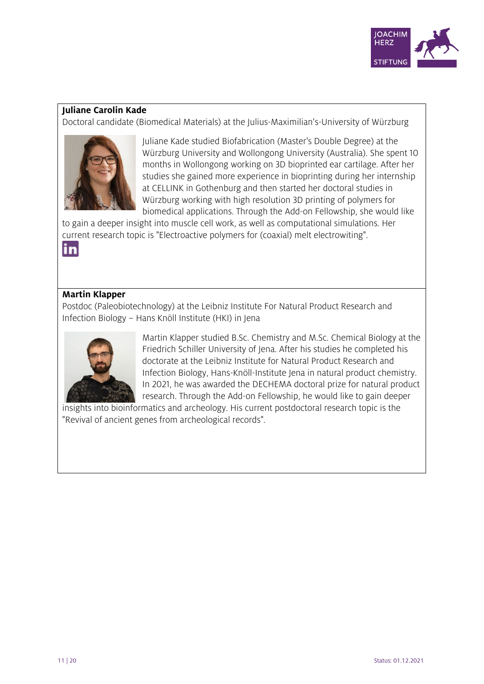

# **Juliane Carolin Kade**

Doctoral candidate (Biomedical Materials) at the Julius-Maximilian's-University of Würzburg



Juliane Kade studied Biofabrication (Master's Double Degree) at the Würzburg University and Wollongong University (Australia). She spent 10 months in Wollongong working on 3D bioprinted ear cartilage. After her studies she gained more experience in bioprinting during her internship at CELLINK in Gothenburg and then started her doctoral studies in Würzburg working with high resolution 3D printing of polymers for biomedical applications. Through the Add-on Fellowship, she would like

to gain a deeper insight into muscle cell work, as well as computational simulations. Her current research topic is "Electroactive polymers for (coaxial) melt electrowiting".

in

# **Martin Klapper**

Postdoc (Paleobiotechnology) at the Leibniz Institute For Natural Product Research and Infection Biology – Hans Knöll Institute (HKI) in Jena



Martin Klapper studied B.Sc. Chemistry and M.Sc. Chemical Biology at the Friedrich Schiller University of Jena. After his studies he completed his doctorate at the Leibniz Institute for Natural Product Research and Infection Biology, Hans-Knöll-Institute Jena in natural product chemistry. In 2021, he was awarded the DECHEMA doctoral prize for natural product research. Through the Add-on Fellowship, he would like to gain deeper

insights into bioinformatics and archeology. His current postdoctoral research topic is the "Revival of ancient genes from archeological records".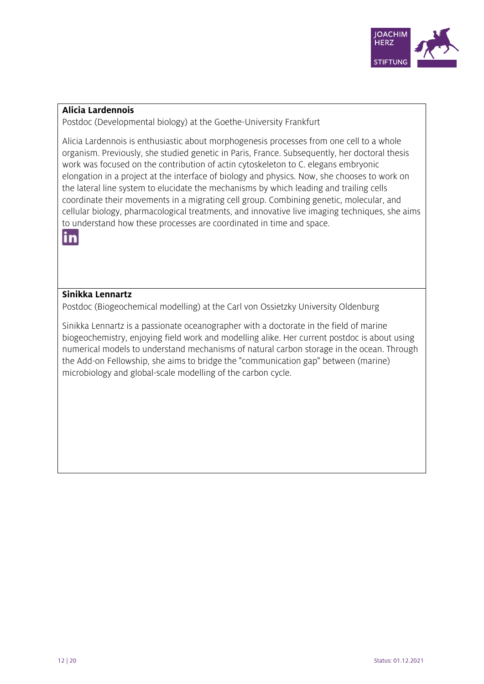

#### **Alicia Lardennois**

Postdoc (Developmental biology) at the Goethe-University Frankfurt

Alicia Lardennois is enthusiastic about morphogenesis processes from one cell to a whole organism. Previously, she studied genetic in Paris, France. Subsequently, her doctoral thesis work was focused on the contribution of actin cytoskeleton to C. elegans embryonic elongation in a project at the interface of biology and physics. Now, she chooses to work on the lateral line system to elucidate the mechanisms by which leading and trailing cells coordinate their movements in a migrating cell group. Combining genetic, molecular, and cellular biology, pharmacological treatments, and innovative live imaging techniques, she aims to understand how these processes are coordinated in time and space.



# **Sinikka Lennartz**

Postdoc (Biogeochemical modelling) at the Carl von Ossietzky University Oldenburg

Sinikka Lennartz is a passionate oceanographer with a doctorate in the field of marine biogeochemistry, enjoying field work and modelling alike. Her current postdoc is about using numerical models to understand mechanisms of natural carbon storage in the ocean. Through the Add-on Fellowship, she aims to bridge the "communication gap" between (marine) microbiology and global-scale modelling of the carbon cycle.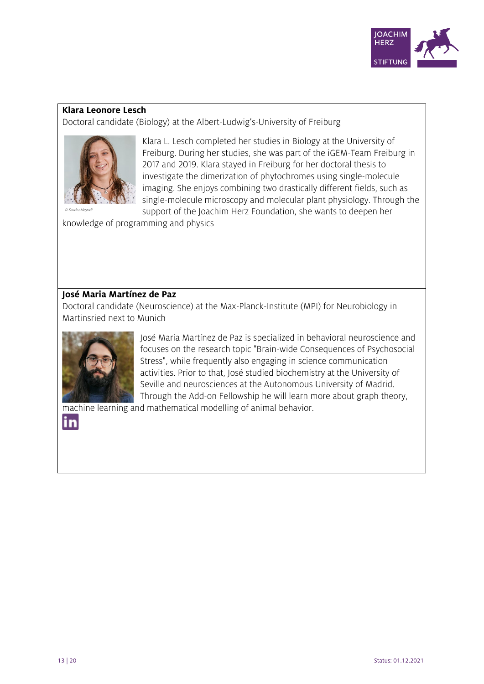

#### **Klara Leonore Lesch**

Doctoral candidate (Biology) at the Albert-Ludwig's-University of Freiburg



Klara L. Lesch completed her studies in Biology at the University of Freiburg. During her studies, she was part of the iGEM-Team Freiburg in 2017 and 2019. Klara stayed in Freiburg for her doctoral thesis to investigate the dimerization of phytochromes using single-molecule imaging. She enjoys combining two drastically different fields, such as single-molecule microscopy and molecular plant physiology. Through the support of the Joachim Herz Foundation, she wants to deepen her

knowledge of programming and physics

#### **José Maria Martínez de Paz**

Doctoral candidate (Neuroscience) at the Max-Planck-Institute (MPI) for Neurobiology in Martinsried next to Munich



José Maria Martínez de Paz is specialized in behavioral neuroscience and focuses on the research topic "Brain-wide Consequences of Psychosocial Stress", while frequently also engaging in science communication activities. Prior to that, José studied biochemistry at the University of Seville and neurosciences at the Autonomous University of Madrid. Through the Add-on Fellowship he will learn more about graph theory,

machine learning and mathematical modelling of animal behavior.

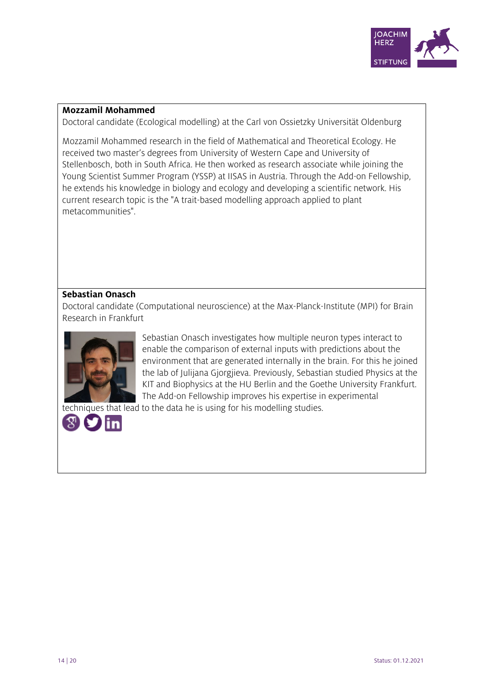

# **Mozzamil Mohammed**

Doctoral candidate (Ecological modelling) at the Carl von Ossietzky Universität Oldenburg

Mozzamil Mohammed research in the field of Mathematical and Theoretical Ecology. He received two master's degrees from University of Western Cape and University of Stellenbosch, both in South Africa. He then worked as research associate while joining the Young Scientist Summer Program (YSSP) at IISAS in Austria. Through the Add-on Fellowship, he extends his knowledge in biology and ecology and developing a scientific network. His current research topic is the "A trait-based modelling approach applied to plant metacommunities".

# **Sebastian Onasch**

Doctoral candidate (Computational neuroscience) at the Max-Planck-Institute (MPI) for Brain Research in Frankfurt



Sebastian Onasch investigates how multiple neuron types interact to enable the comparison of external inputs with predictions about the environment that are generated internally in the brain. For this he joined the lab of Julijana Gjorgjieva. Previously, Sebastian studied Physics at the KIT and Biophysics at the HU Berlin and the Goethe University Frankfurt. The Add-on Fellowship improves his expertise in experimental

techniques that lead to the data he is using for his modelling studies.

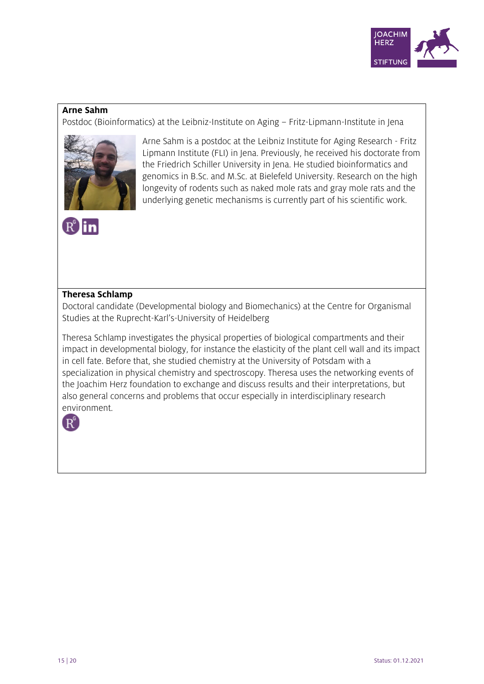

# **Arne Sahm**

Postdoc (Bioinformatics) at the Leibniz-Institute on Aging – Fritz-Lipmann-Institute in Jena



Arne Sahm is a postdoc at the Leibniz Institute for Aging Research - Fritz Lipmann Institute (FLI) in Jena. Previously, he received his doctorate from the Friedrich Schiller University in Jena. He studied bioinformatics and genomics in B.Sc. and M.Sc. at Bielefeld University. Research on the high longevity of rodents such as naked mole rats and gray mole rats and the underlying genetic mechanisms is currently part of his scientific work.



#### **Theresa Schlamp**

Doctoral candidate (Developmental biology and Biomechanics) at the Centre for Organismal Studies at the Ruprecht-Karl's-University of Heidelberg

Theresa Schlamp investigates the physical properties of biological compartments and their impact in developmental biology, for instance the elasticity of the plant cell wall and its impact in cell fate. Before that, she studied chemistry at the University of Potsdam with a specialization in physical chemistry and spectroscopy. Theresa uses the networking events of the Joachim Herz foundation to exchange and discuss results and their interpretations, but also general concerns and problems that occur especially in interdisciplinary research environment.

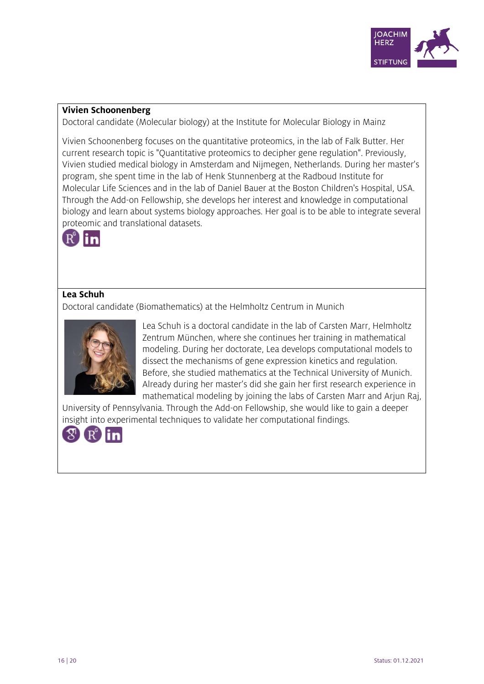

#### **Vivien Schoonenberg**

Doctoral candidate (Molecular biology) at the Institute for Molecular Biology in Mainz

Vivien Schoonenberg focuses on the quantitative proteomics, in the lab of Falk Butter. Her current research topic is "Quantitative proteomics to decipher gene regulation". Previously, Vivien studied medical biology in Amsterdam and Nijmegen, Netherlands. During her master's program, she spent time in the lab of Henk Stunnenberg at the Radboud Institute for Molecular Life Sciences and in the lab of Daniel Bauer at the Boston Children's Hospital, USA. Through the Add-on Fellowship, she develops her interest and knowledge in computational biology and learn about systems biology approaches. Her goal is to be able to integrate several proteomic and translational datasets.



# **Lea Schuh**

Doctoral candidate (Biomathematics) at the Helmholtz Centrum in Munich



Lea Schuh is a doctoral candidate in the lab of Carsten Marr, Helmholtz Zentrum München, where she continues her training in mathematical modeling. During her doctorate, Lea develops computational models to dissect the mechanisms of gene expression kinetics and regulation. Before, she studied mathematics at the Technical University of Munich. Already during her master's did she gain her first research experience in mathematical modeling by joining the labs of Carsten Marr and Arjun Raj,

University of Pennsylvania. Through the Add-on Fellowship, she would like to gain a deeper insight into experimental techniques to validate her computational findings.

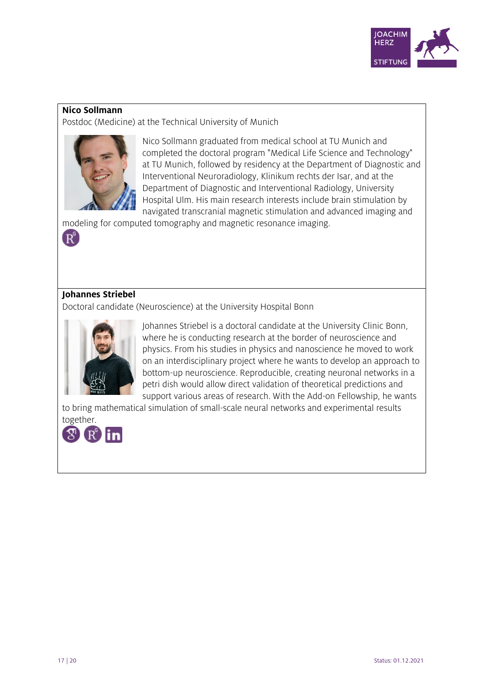

#### **Nico Sollmann**

Postdoc (Medicine) at the Technical University of Munich



Nico Sollmann graduated from medical school at TU Munich and completed the doctoral program "Medical Life Science and Technology" at TU Munich, followed by residency at the Department of Diagnostic and Interventional Neuroradiology, Klinikum rechts der Isar, and at the Department of Diagnostic and Interventional Radiology, University Hospital Ulm. His main research interests include brain stimulation by navigated transcranial magnetic stimulation and advanced imaging and

modeling for computed tomography and magnetic resonance imaging.

# **Johannes Striebel**

 $\left( \mathbf{R}^{\mathrm{c}}\right)$ 

Doctoral candidate (Neuroscience) at the University Hospital Bonn



Johannes Striebel is a doctoral candidate at the University Clinic Bonn, where he is conducting research at the border of neuroscience and physics. From his studies in physics and nanoscience he moved to work on an interdisciplinary project where he wants to develop an approach to bottom-up neuroscience. Reproducible, creating neuronal networks in a petri dish would allow direct validation of theoretical predictions and support various areas of research. With the Add-on Fellowship, he wants

to bring mathematical simulation of small-scale neural networks and experimental results together.

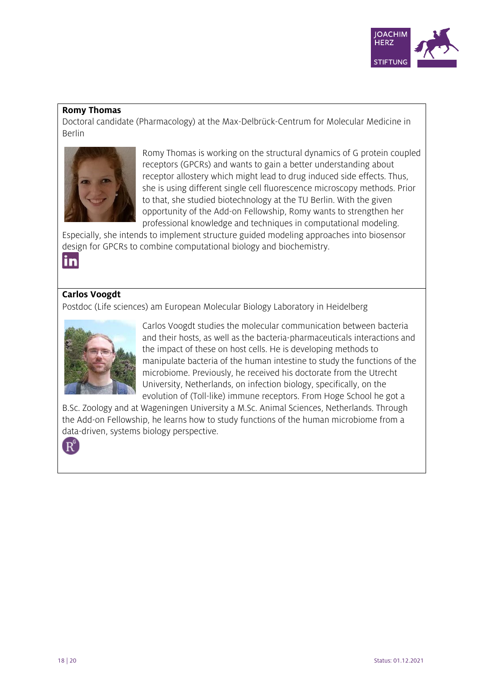

#### **Romy Thomas**

Doctoral candidate (Pharmacology) at the Max-Delbrück-Centrum for Molecular Medicine in Berlin



Romy Thomas is working on the structural dynamics of G protein coupled receptors (GPCRs) and wants to gain a better understanding about receptor allostery which might lead to drug induced side effects. Thus, she is using different single cell fluorescence microscopy methods. Prior to that, she studied biotechnology at the TU Berlin. With the given opportunity of the Add-on Fellowship, Romy wants to strengthen her professional knowledge and techniques in computational modeling.

Especially, she intends to implement structure guided modeling approaches into biosensor design for GPCRs to combine computational biology and biochemistry.

in

# **Carlos Voogdt**

Postdoc (Life sciences) am European Molecular Biology Laboratory in Heidelberg



Carlos Voogdt studies the molecular communication between bacteria and their hosts, as well as the bacteria-pharmaceuticals interactions and the impact of these on host cells. He is developing methods to manipulate bacteria of the human intestine to study the functions of the microbiome. Previously, he received his doctorate from the Utrecht University, Netherlands, on infection biology, specifically, on the evolution of (Toll-like) immune receptors. From Hoge School he got a

B.Sc. Zoology and at Wageningen University a M.Sc. Animal Sciences, Netherlands. Through the Add-on Fellowship, he learns how to study functions of the human microbiome from a data-driven, systems biology perspective.

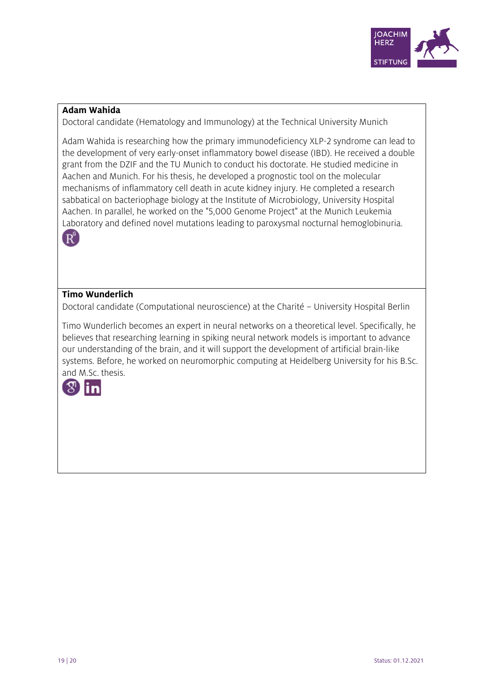

# **Adam Wahida**

Doctoral candidate (Hematology and Immunology) at the Technical University Munich

Adam Wahida is researching how the primary immunodeficiency XLP-2 syndrome can lead to the development of very early-onset inflammatory bowel disease (IBD). He received a double grant from the DZIF and the TU Munich to conduct his doctorate. He studied medicine in Aachen and Munich. For his thesis, he developed a prognostic tool on the molecular mechanisms of inflammatory cell death in acute kidney injury. He completed a research sabbatical on bacteriophage biology at the Institute of Microbiology, University Hospital Aachen. In parallel, he worked on the "5,000 Genome Project" at the Munich Leukemia Laboratory and defined novel mutations leading to paroxysmal nocturnal hemoglobinuria.



# **Timo Wunderlich**

Doctoral candidate (Computational neuroscience) at the Charité – University Hospital Berlin

Timo Wunderlich becomes an expert in neural networks on a theoretical level. Specifically, he believes that researching learning in spiking neural network models is important to advance our understanding of the brain, and it will support the development of artificial brain-like systems. Before, he worked on neuromorphic computing at Heidelberg University for his B.Sc. and M.Sc. thesis.